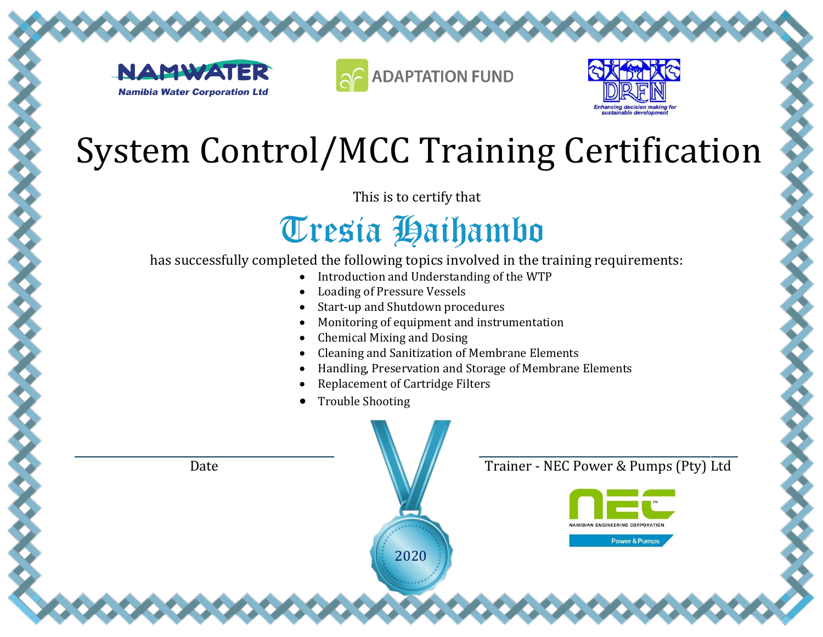





This is to certify that

### Tresia Haihambo

- Introduction and Understanding of the WTP
- Loading of Pressure Vessels
- Start-up and Shutdown procedures
- Monitoring of equipment and instrumentation
- Chemical Mixing and Dosing
- Cleaning and Sanitization of Membrane Elements
- Handling, Preservation and Storage of Membrane Elements
- Replacement of Cartridge Filters
- Trouble Shooting

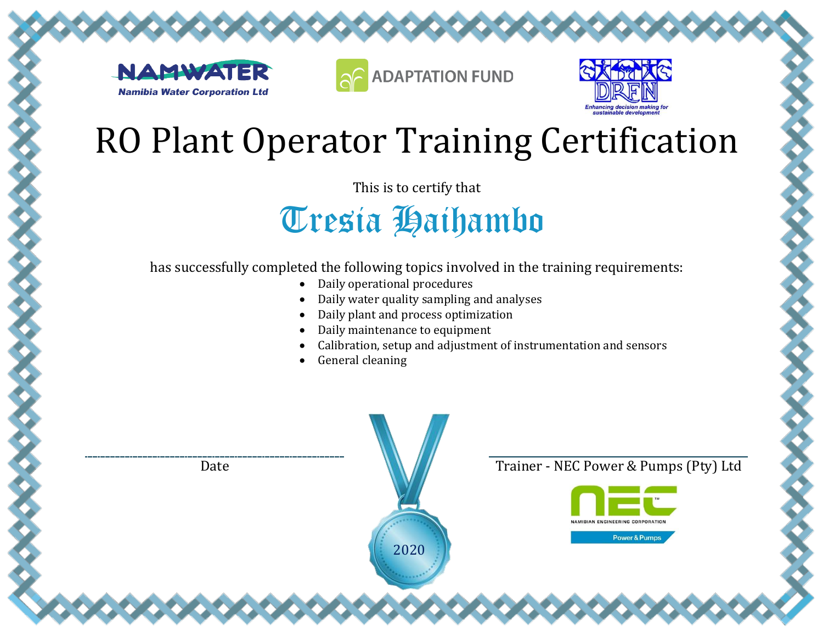





This is to certify that

Tresia Haihambo

- Daily operational procedures
- Daily water quality sampling and analyses
- Daily plant and process optimization
- Daily maintenance to equipment
- Calibration, setup and adjustment of instrumentation and sensors
- General cleaning

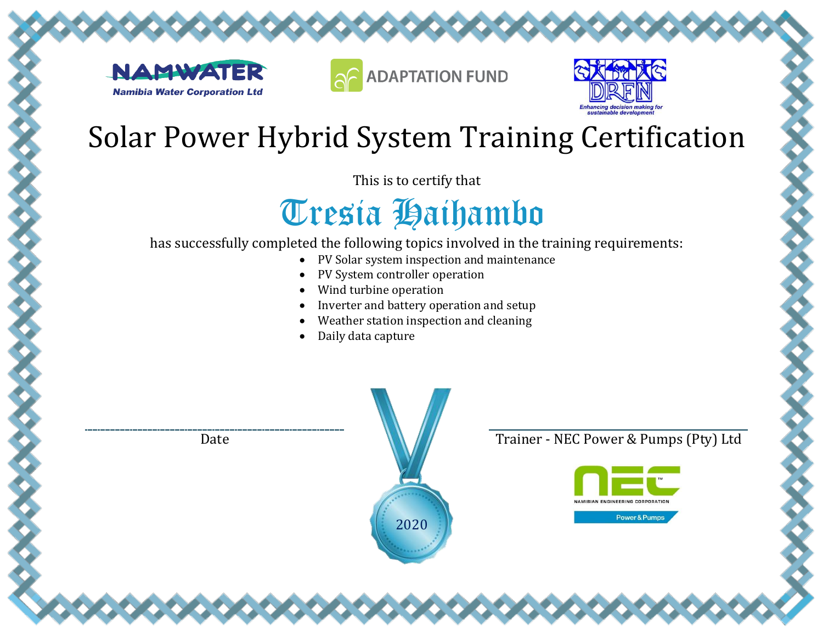





This is to certify that

## Tresia Haihambo

has successfully completed the following topics involved in the training requirements:

- PV Solar system inspection and maintenance
- PV System controller operation
- Wind turbine operation
- Inverter and battery operation and setup
- Weather station inspection and cleaning
- Daily data capture

2020

Date **Trainer - NEC Power & Pumps (Pty) Ltd** 

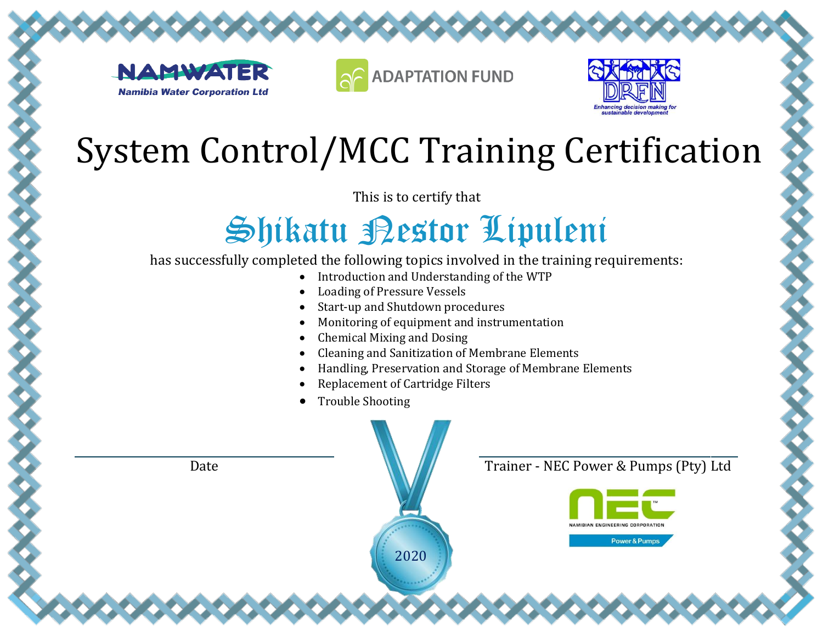





This is to certify that

### Shikatu Pestor Lipuleni

- Introduction and Understanding of the WTP
- Loading of Pressure Vessels
- Start-up and Shutdown procedures
- Monitoring of equipment and instrumentation
- Chemical Mixing and Dosing
- Cleaning and Sanitization of Membrane Elements
- Handling, Preservation and Storage of Membrane Elements
- Replacement of Cartridge Filters
- Trouble Shooting

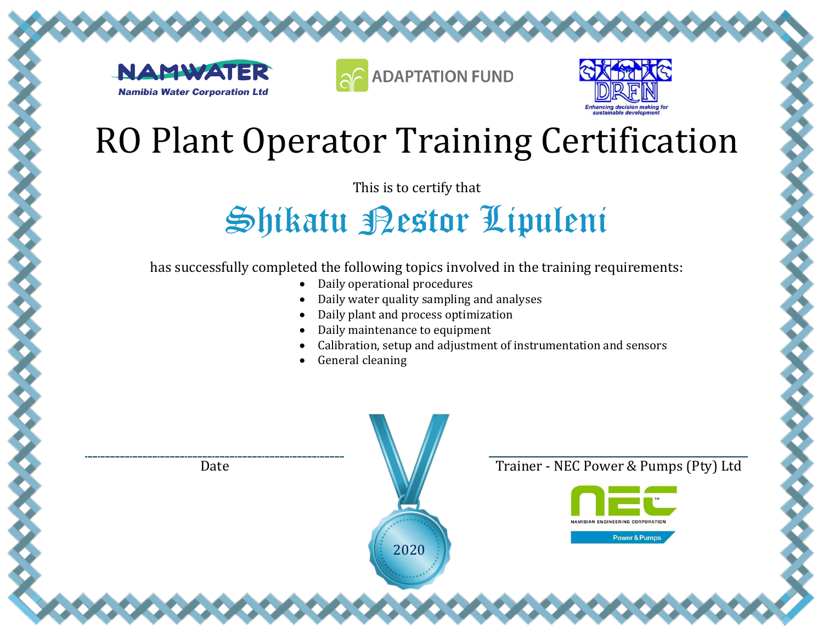





This is to certify that

### Shikatu Pestor Lipuleni

- Daily operational procedures
- Daily water quality sampling and analyses
- Daily plant and process optimization
- Daily maintenance to equipment
- Calibration, setup and adjustment of instrumentation and sensors
- General cleaning

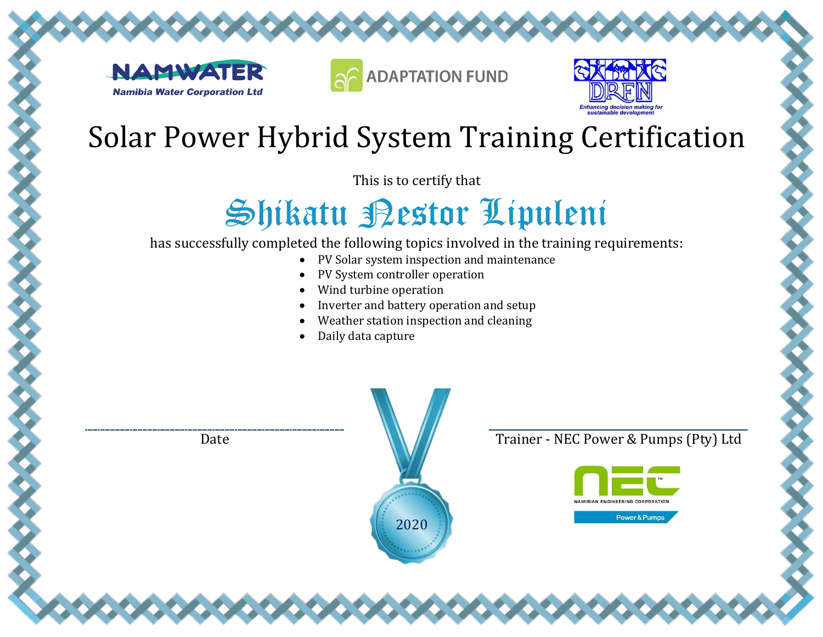





This is to certify that

# Shikatu Pestor Lipuleni

has successfully completed the following topics involved in the training requirements:

- PV Solar system inspection and maintenance
- PV System controller operation
- Wind turbine operation
- Inverter and battery operation and setup
- Weather station inspection and cleaning
- Daily data capture

2020

Date **Trainer - NEC Power & Pumps (Pty)** Ltd

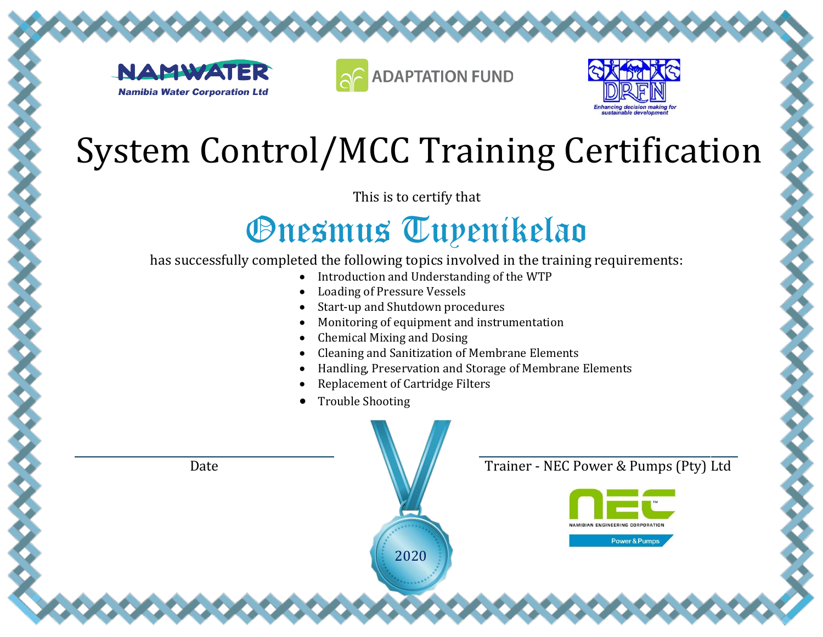





This is to certify that

### *Onesmus Tupenikelao*

- Introduction and Understanding of the WTP
- Loading of Pressure Vessels
- Start-up and Shutdown procedures
- Monitoring of equipment and instrumentation
- Chemical Mixing and Dosing
- Cleaning and Sanitization of Membrane Elements
- Handling, Preservation and Storage of Membrane Elements
- Replacement of Cartridge Filters
- Trouble Shooting

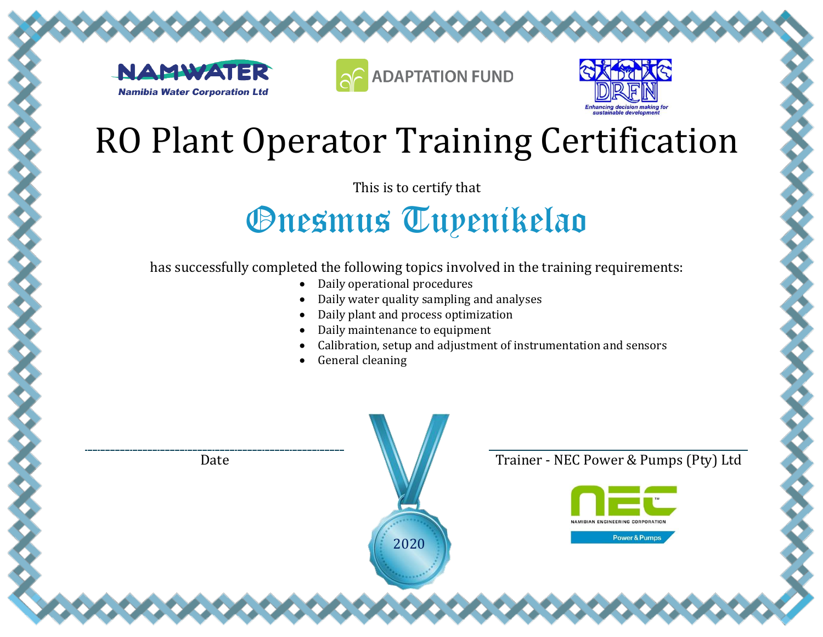





This is to certify that

### *Onesmus Tupenikelao*

- Daily operational procedures
- Daily water quality sampling and analyses
- Daily plant and process optimization
- Daily maintenance to equipment
- Calibration, setup and adjustment of instrumentation and sensors
- General cleaning

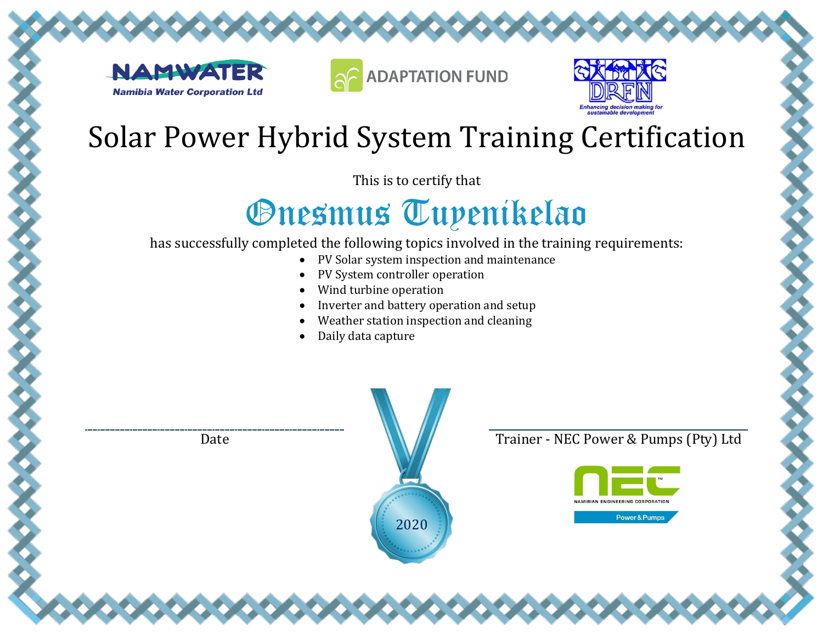





This is to certify that

# Onesmus Tuyenikelao

has successfully completed the following topics involved in the training requirements:

- PV Solar system inspection and maintenance
- PV System controller operation
- Wind turbine operation
- Inverter and battery operation and setup
- Weather station inspection and cleaning
- Daily data capture



Date **Trainer - NEC Power & Pumps (Pty)** Ltd

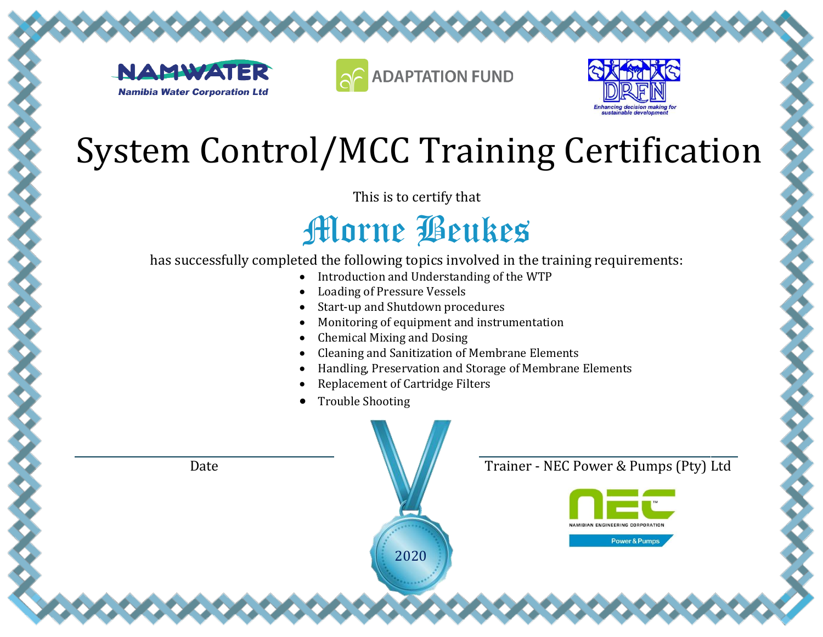





This is to certify that

#### Morne Beukes

- Introduction and Understanding of the WTP
- Loading of Pressure Vessels
- Start-up and Shutdown procedures
- Monitoring of equipment and instrumentation
- Chemical Mixing and Dosing
- Cleaning and Sanitization of Membrane Elements
- Handling, Preservation and Storage of Membrane Elements
- Replacement of Cartridge Filters
- Trouble Shooting

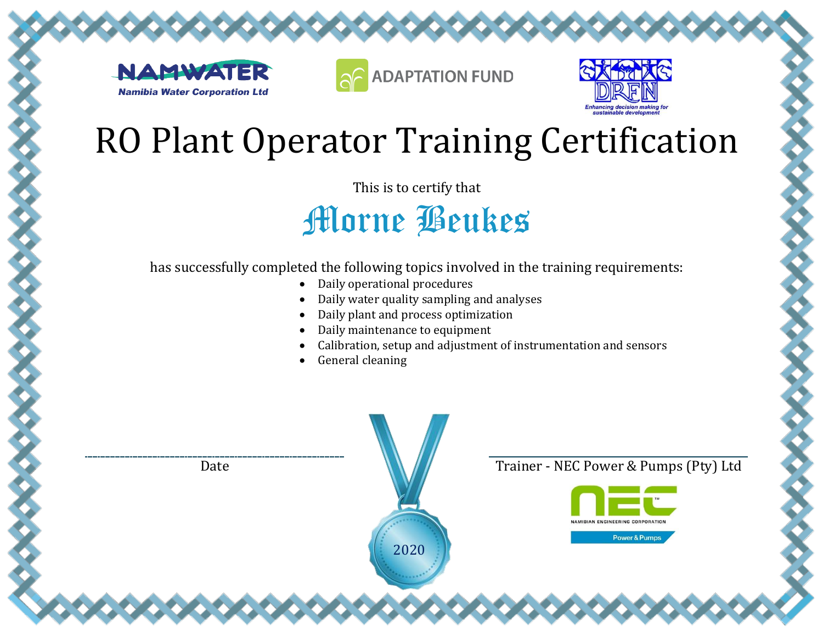





This is to certify that

Morne Beukes

- Daily operational procedures
- Daily water quality sampling and analyses
- Daily plant and process optimization
- Daily maintenance to equipment
- Calibration, setup and adjustment of instrumentation and sensors
- General cleaning

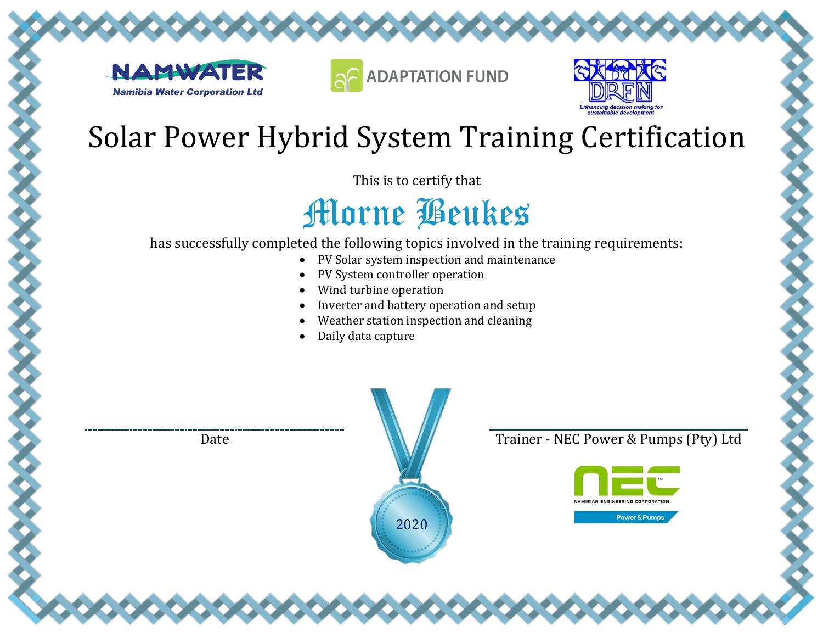





This is to certify that

### Morne Beukes

has successfully completed the following topics involved in the training requirements:

- PV Solar system inspection and maintenance
- PV System controller operation
- Wind turbine operation
- Inverter and battery operation and setup
- Weather station inspection and cleaning

2020

• Daily data capture





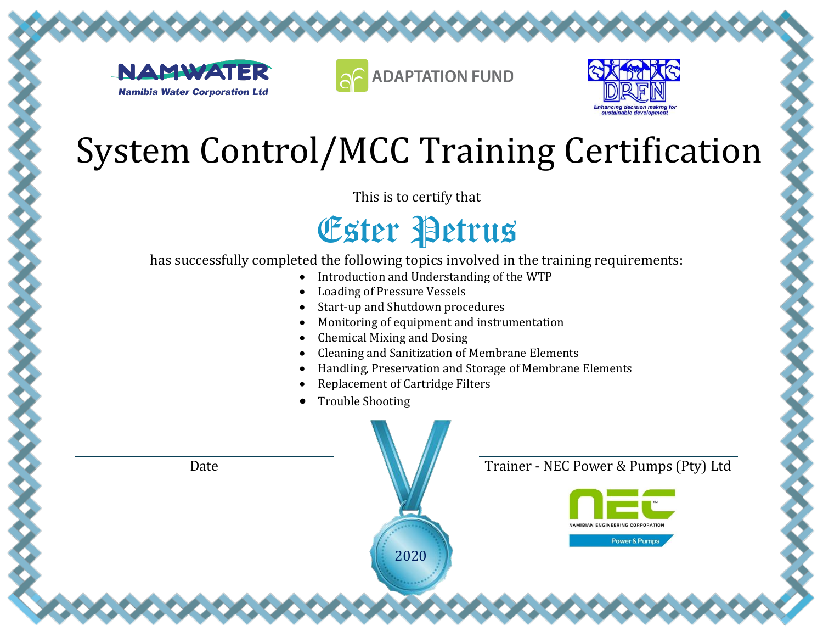





This is to certify that

Ester Petrus

- Introduction and Understanding of the WTP
- Loading of Pressure Vessels
- Start-up and Shutdown procedures
- Monitoring of equipment and instrumentation
- Chemical Mixing and Dosing
- Cleaning and Sanitization of Membrane Elements
- Handling, Preservation and Storage of Membrane Elements
- Replacement of Cartridge Filters
- Trouble Shooting

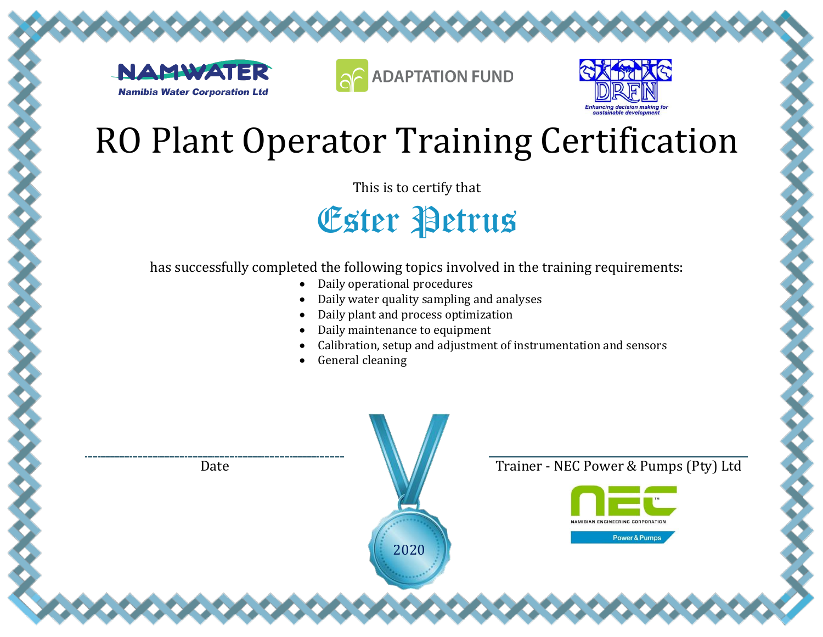





This is to certify that

Ester Petrus

- Daily operational procedures
- Daily water quality sampling and analyses
- Daily plant and process optimization
- Daily maintenance to equipment
- Calibration, setup and adjustment of instrumentation and sensors
- General cleaning

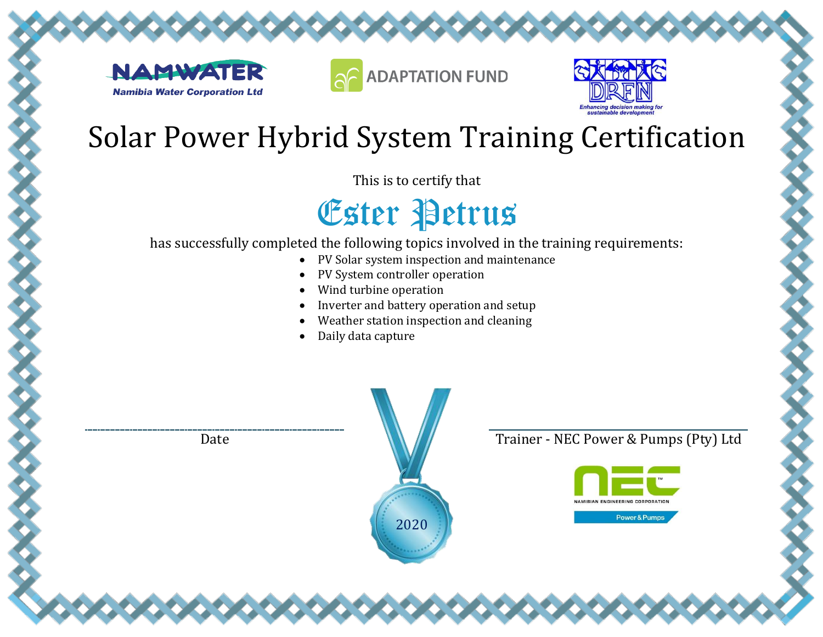





This is to certify that

Ester Petrus

has successfully completed the following topics involved in the training requirements:

- PV Solar system inspection and maintenance
- PV System controller operation
- Wind turbine operation
- Inverter and battery operation and setup
- Weather station inspection and cleaning

2020

• Daily data capture



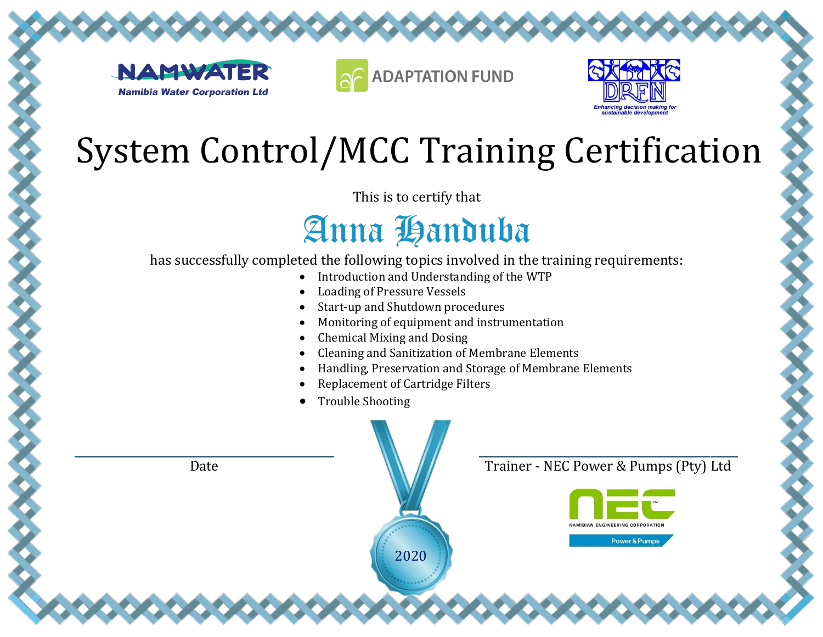





This is to certify that

### Anna Handuba

- Introduction and Understanding of the WTP
- Loading of Pressure Vessels
- Start-up and Shutdown procedures
- Monitoring of equipment and instrumentation
- Chemical Mixing and Dosing
- Cleaning and Sanitization of Membrane Elements
- Handling, Preservation and Storage of Membrane Elements
- Replacement of Cartridge Filters
- Trouble Shooting

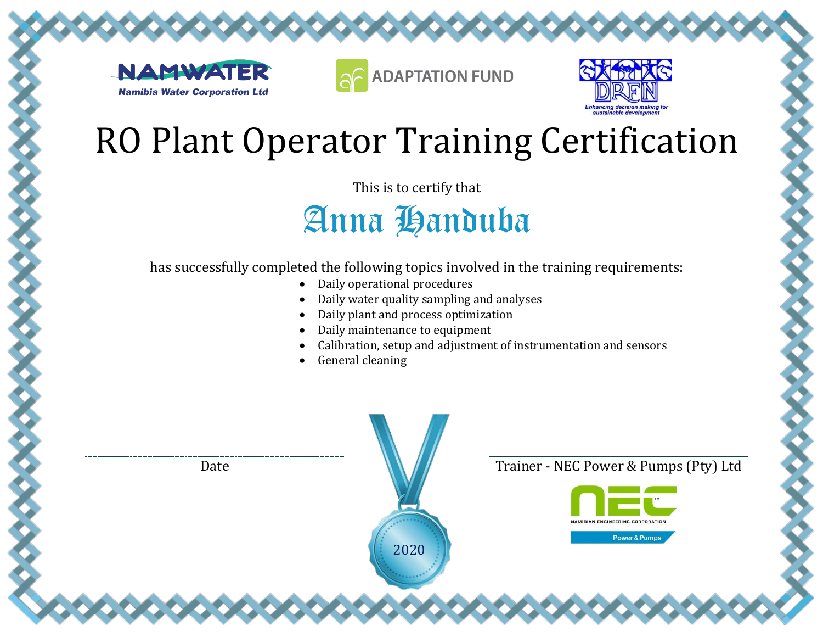





This is to certify that

Anna Handuba

- Daily operational procedures
- Daily water quality sampling and analyses
- Daily plant and process optimization
- Daily maintenance to equipment
- Calibration, setup and adjustment of instrumentation and sensors
- General cleaning